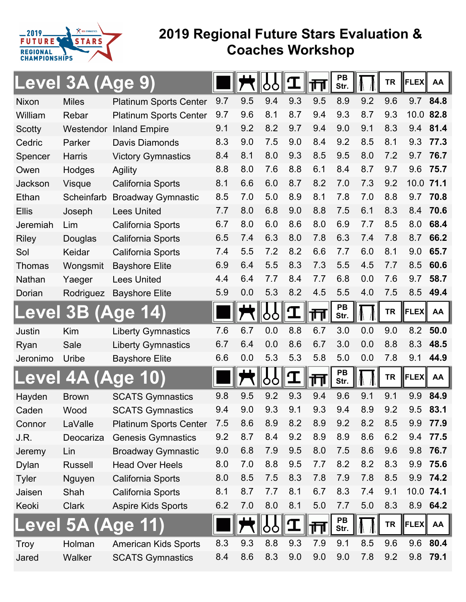

## **2019 Regional Future Stars Evaluation & Coaches Workshop**

|               | <b>Level 3A (Age</b> |                               |     |     |     |             | ∏∏  | PB<br>Str. |     | <b>TR</b> | <b>FLEX</b> | AA       |
|---------------|----------------------|-------------------------------|-----|-----|-----|-------------|-----|------------|-----|-----------|-------------|----------|
| <b>Nixon</b>  | <b>Miles</b>         | <b>Platinum Sports Center</b> | 9.7 | 9.5 | 9.4 | 9.3         | 9.5 | 8.9        | 9.2 | 9.6       | 9.7         | 84.8     |
| William       | Rebar                | <b>Platinum Sports Center</b> | 9.7 | 9.6 | 8.1 | 8.7         | 9.4 | 9.3        | 8.7 | 9.3       | 10.0        | 82.8     |
| Scotty        | Westendor            | <b>Inland Empire</b>          | 9.1 | 9.2 | 8.2 | 9.7         | 9.4 | 9.0        | 9.1 | 8.3       | 9.4         | 81.4     |
| Cedric        | Parker               | Davis Diamonds                | 8.3 | 9.0 | 7.5 | 9.0         | 8.4 | 9.2        | 8.5 | 8.1       | 9.3         | 77.3     |
| Spencer       | <b>Harris</b>        | <b>Victory Gymnastics</b>     | 8.4 | 8.1 | 8.0 | 9.3         | 8.5 | 9.5        | 8.0 | 7.2       | 9.7         | 76.7     |
| Owen          | Hodges               | Agility                       | 8.8 | 8.0 | 7.6 | 8.8         | 6.1 | 8.4        | 8.7 | 9.7       | 9.6         | 75.7     |
| Jackson       | <b>Visque</b>        | California Sports             | 8.1 | 6.6 | 6.0 | 8.7         | 8.2 | 7.0        | 7.3 | 9.2       | 10.0        | 71.1     |
| Ethan         | Scheinfarb           | <b>Broadway Gymnastic</b>     | 8.5 | 7.0 | 5.0 | 8.9         | 8.1 | 7.8        | 7.0 | 8.8       | 9.7         | 70.8     |
| <b>Ellis</b>  | Joseph               | <b>Lees United</b>            | 7.7 | 8.0 | 6.8 | 9.0         | 8.8 | 7.5        | 6.1 | 8.3       | 8.4         | 70.6     |
| Jeremiah      | Lim                  | California Sports             | 6.7 | 8.0 | 6.0 | 8.6         | 8.0 | 6.9        | 7.7 | 8.5       | 8.0         | 68.4     |
| <b>Riley</b>  | Douglas              | California Sports             | 6.5 | 7.4 | 6.3 | 8.0         | 7.8 | 6.3        | 7.4 | 7.8       | 8.7         | 66.2     |
| Sol           | Keidar               | California Sports             | 7.4 | 5.5 | 7.2 | 8.2         | 6.6 | 7.7        | 6.0 | 8.1       | 9.0         | 65.7     |
| <b>Thomas</b> | Wongsmit             | <b>Bayshore Elite</b>         | 6.9 | 6.4 | 5.5 | 8.3         | 7.3 | 5.5        | 4.5 | 7.7       | 8.5         | 60.6     |
| Nathan        | Yaeger               | <b>Lees United</b>            | 4.4 | 6.4 | 7.7 | 8.4         | 7.7 | 6.8        | 0.0 | 7.6       | 9.7         | 58.7     |
| Dorian        | Rodriguez            | <b>Bayshore Elite</b>         | 5.9 | 0.0 | 5.3 | 8.2         | 4.5 | 5.5        | 4.0 | 7.5       | 8.5         | 49.4     |
| Level         | 3B                   | <u>(Age</u>                   |     |     | oo  | $\mathbf T$ | गा  | PB<br>Str. |     | <b>TR</b> | <b>FLEX</b> | AA       |
| Justin        | Kim                  | <b>Liberty Gymnastics</b>     | 7.6 | 6.7 | 0.0 | 8.8         | 6.7 | 3.0        | 0.0 | 9.0       | 8.2         | 50.0     |
| Ryan          | Sale                 | <b>Liberty Gymnastics</b>     | 6.7 | 6.4 | 0.0 | 8.6         | 6.7 | 3.0        | 0.0 | 8.8       | 8.3         | 48.5     |
| Jeronimo      | Uribe                | <b>Bayshore Elite</b>         | 6.6 | 0.0 | 5.3 | 5.3         | 5.8 | 5.0        | 0.0 | 7.8       | 9.1         | 44.9     |
|               | <u>Level 4A (Age</u> |                               |     |     | oo  | I           | 帀   | PB<br>Str. |     | <b>TR</b> | <b>FLEX</b> | AA       |
| Hayden        | <b>Brown</b>         | <b>SCATS Gymnastics</b>       | 9.8 | 9.5 | 9.2 | 9.3         | 9.4 | 9.6        | 9.1 | 9.1       | 9.9         | 84.9     |
| Caden         | Wood                 | <b>SCATS Gymnastics</b>       | 9.4 | 9.0 | 9.3 | 9.1         | 9.3 | 9.4        | 8.9 | 9.2       | 9.5         | 83.1     |
| Connor        | LaValle              | <b>Platinum Sports Center</b> | 7.5 | 8.6 | 8.9 | 8.2         | 8.9 | 9.2        | 8.2 | 8.5       | 9.9         | 77.9     |
| J.R.          | Deocariza            | <b>Genesis Gymnastics</b>     | 9.2 | 8.7 | 8.4 | 9.2         | 8.9 | 8.9        | 8.6 | 6.2       | 9.4         | 77.5     |
| Jeremy        | Lin                  | <b>Broadway Gymnastic</b>     | 9.0 | 6.8 | 7.9 | 9.5         | 8.0 | 7.5        | 8.6 | 9.6       | 9.8         | 76.7     |
| <b>Dylan</b>  | <b>Russell</b>       | <b>Head Over Heels</b>        | 8.0 | 7.0 | 8.8 | 9.5         | 7.7 | 8.2        | 8.2 | 8.3       | 9.9         | 75.6     |
| <b>Tyler</b>  | Nguyen               | California Sports             | 8.0 | 8.5 | 7.5 | 8.3         | 7.8 | 7.9        | 7.8 | 8.5       | 9.9         | 74.2     |
| Jaisen        | Shah                 | California Sports             | 8.1 | 8.7 | 7.7 | 8.1         | 6.7 | 8.3        | 7.4 | 9.1       | 10.0 74.1   |          |
| Keoki         | <b>Clark</b>         | <b>Aspire Kids Sports</b>     | 6.2 | 7.0 | 8.0 | 8.1         | 5.0 | 7.7        | 5.0 | 8.3       |             | 8.9 64.2 |
| Level         | <b>5A</b>            | <u>(Age</u>                   |     |     | O   |             | ╓╖  | PB<br>Str. |     | <b>TR</b> | FLEX   AA   |          |
| <b>Troy</b>   | Holman               | <b>American Kids Sports</b>   | 8.3 | 9.3 | 8.8 | 9.3         | 7.9 | 9.1        | 8.5 | 9.6       | 9.6         | 80.4     |
| Jared         | Walker               | <b>SCATS Gymnastics</b>       | 8.4 | 8.6 | 8.3 | 9.0         | 9.0 | 9.0        | 7.8 | 9.2       | 9.8         | 79.1     |